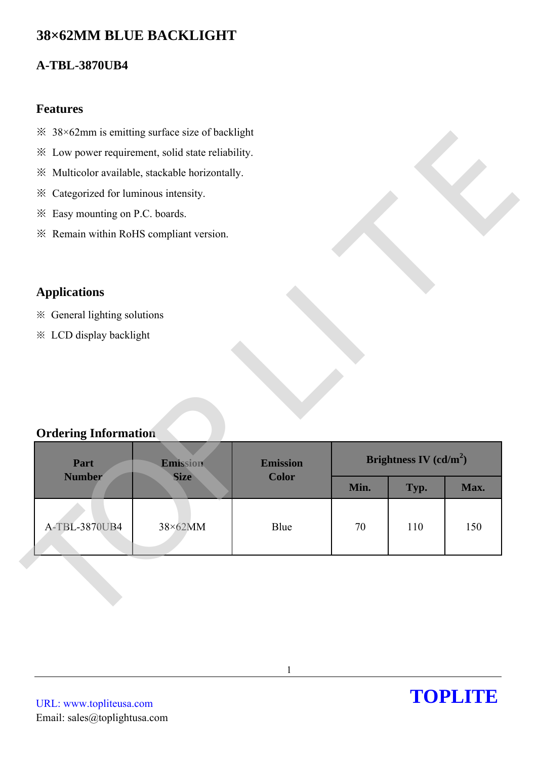# **38×62MM BLUE BACKLIGHT**

## **A-TBL-3870UB4**

### **Features**

- $\frac{38}{62}$ mm is emitting surface size of backlight
- ※ Low power requirement, solid state reliability.
- ※ Multicolor available, stackable horizontally.
- ※ Categorized for luminous intensity.
- ※ Easy mounting on P.C. boards.
- ※ Remain within RoHS compliant version.

# **Applications**

- ※ General lighting solutions
- ※ LCD display backlight

## **Ordering Information**

| * Low power requirement, solid state reliability. |             |              |                          |      |      |  |
|---------------------------------------------------|-------------|--------------|--------------------------|------|------|--|
| ※ Multicolor available, stackable horizontally.   |             |              |                          |      |      |  |
| * Categorized for luminous intensity.             |             |              |                          |      |      |  |
| * Easy mounting on P.C. boards.                   |             |              |                          |      |      |  |
| * Remain within RoHS compliant version.           |             |              |                          |      |      |  |
|                                                   |             |              |                          |      |      |  |
| <b>Applications</b>                               |             |              |                          |      |      |  |
| * General lighting solutions                      |             |              |                          |      |      |  |
| * LCD display backlight                           |             |              |                          |      |      |  |
|                                                   |             |              |                          |      |      |  |
|                                                   |             |              |                          |      |      |  |
|                                                   |             |              |                          |      |      |  |
|                                                   |             |              |                          |      |      |  |
| <b>Ordering Information</b>                       |             |              |                          |      |      |  |
| Part<br><b>Emission</b><br>Emission               |             |              | Brightness IV $(cd/m^2)$ |      |      |  |
| <b>Number</b>                                     | <b>Size</b> | <b>Color</b> | Min.                     | Typ. | Max. |  |
|                                                   |             |              |                          |      |      |  |
| A-TBL-3870UB4                                     | 38×62MM     | Blue         | 70                       | 110  | 150  |  |
|                                                   |             |              |                          |      |      |  |
|                                                   |             |              |                          |      |      |  |
|                                                   |             |              |                          |      |      |  |
|                                                   |             |              |                          |      |      |  |
|                                                   |             |              |                          |      |      |  |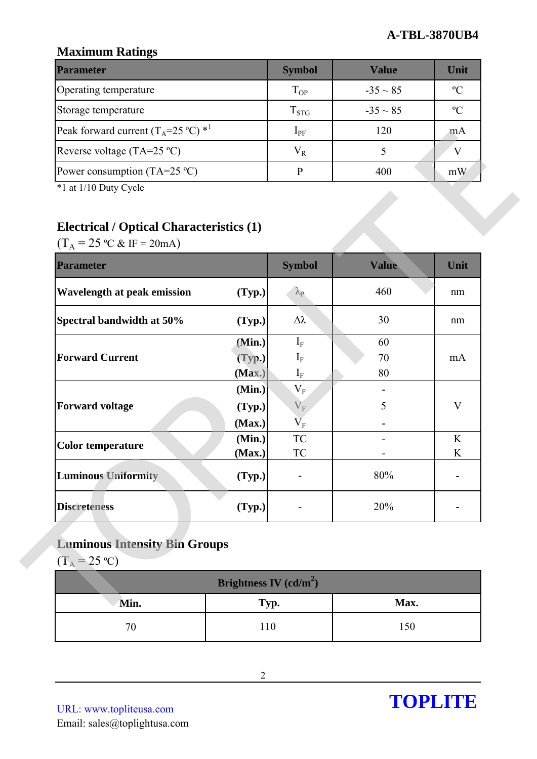## **Maximum Ratings**

| <b>Parameter</b>                                        | <b>Symbol</b> | Value         | Unit          |
|---------------------------------------------------------|---------------|---------------|---------------|
| Operating temperature                                   | $T_{OP}$      | $-35 \sim 85$ | $\mathcal{O}$ |
| Storage temperature                                     | $T_{STG}$     | $-35 \sim 85$ | $\mathcal{C}$ |
| Peak forward current $(T_A=25 \degree C)$ <sup>*1</sup> | $1_{\rm PF}$  | 120           | mA            |
| Reverse voltage (TA=25 $^{\circ}$ C)                    | $V_{R}$       |               |               |
| Power consumption $(TA=25 \degree C)$                   |               | 400           | mW            |

# **Electrical / Optical Characteristics (1)**

| $(T_A = 25 \text{ °C} \& \text{ IF} = 20 \text{ mA})$<br><b>Parameter</b> |        | <b>Symbol</b>     | <b>Value</b> | Unit        |
|---------------------------------------------------------------------------|--------|-------------------|--------------|-------------|
| <b>Wavelength at peak emission</b>                                        | (Typ.) | $\lambda_{\rm P}$ | 460          | nm          |
| Spectral bandwidth at 50%                                                 | (Typ.) | Δλ                | 30           | nm          |
|                                                                           | (Min.) | $I_{F}$           | 60           |             |
| <b>Forward Current</b>                                                    | (Typ.) | $I_{F}$           | 70           | mA          |
|                                                                           | (Max.) | $I_F$             | 80           |             |
|                                                                           | (Min.) | $V_F$             |              |             |
| <b>Forward voltage</b>                                                    | (Typ.) | $V_{F}$           | 5            | $\mathbf V$ |
|                                                                           | (Max.) | $\overline{V}_F$  |              |             |
| <b>Color temperature</b>                                                  | (Min.) | ${\rm TC}$        |              | $\rm K$     |
|                                                                           | (Max.) | TC                |              | K           |
| <b>Luminous Uniformity</b>                                                | (Typ.) |                   | 80%          |             |
| <b>Discreteness</b>                                                       | (Typ.) |                   | 20%          |             |

# **Luminous Intensity Bin Groups**

| Brightness IV (cd/m <sup>2</sup> ) |      |      |  |  |
|------------------------------------|------|------|--|--|
| Min.                               | Typ. | Max. |  |  |
|                                    | 10   | -50  |  |  |

URL: www.topliteusa.com Email: sales@toplightusa.com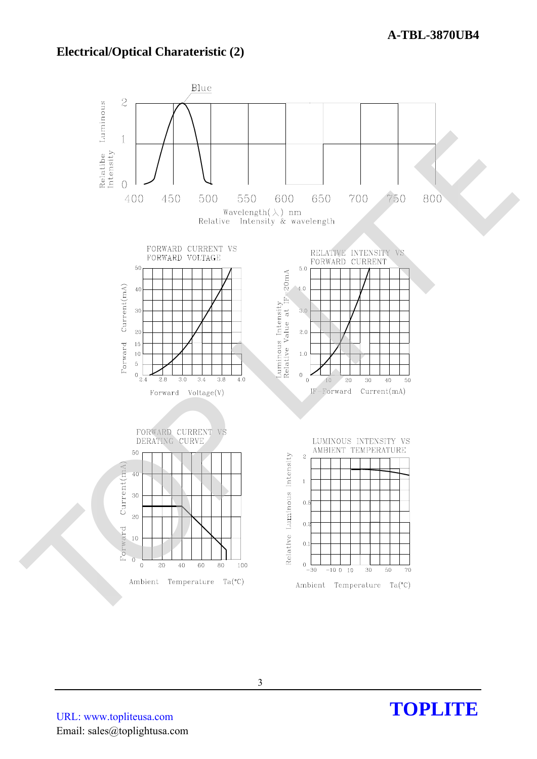### **Electrical/Optical Charateristic (2)**



URL: www.topliteusa.com Email: sales@toplightusa.com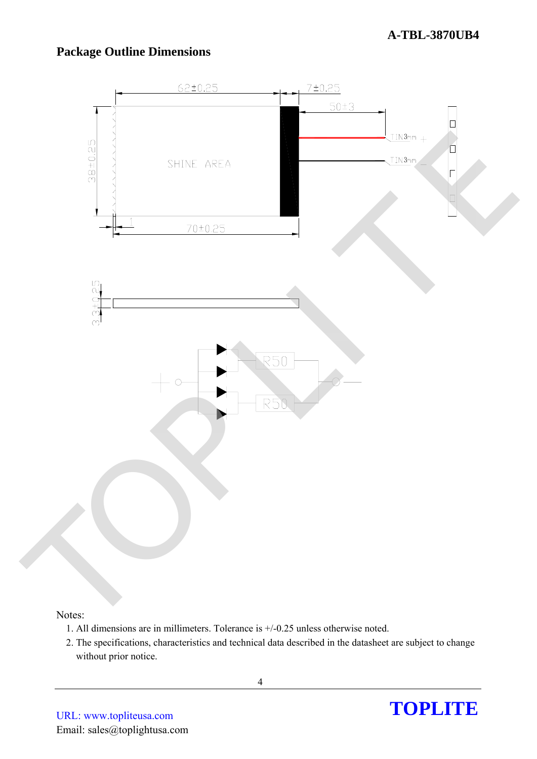### **A-TBL-3870UB4**

## **Package Outline Dimensions**



#### Notes:

- 1. All dimensions are in millimeters. Tolerance is +/-0.25 unless otherwise noted.
- 2. The specifications, characteristics and technical data described in the datasheet are subject to change without prior notice.